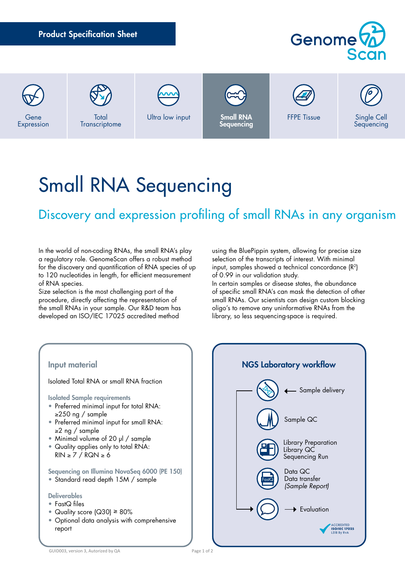Product Specification Sheet Genome Ultra low input **Small RNA**<br>Sequencing FFPE Tissue Single Cell **Total** Gene

# Small RNA Sequencing

## Discovery and expression profiling of small RNAs in any organism

In the world of non-coding RNAs, the small RNA's play a regulatory role. GenomeScan offers a robust method for the discovery and quantification of RNA species of up to 120 nucleotides in length, for efficient measurement of RNA species.

**Transcriptome** 

Expression

Size selection is the most challenging part of the procedure, directly affecting the representation of the small RNAs in your sample. Our R&D team has developed an ISO/IEC 17025 accredited method

using the BluePippin system, allowing for precise size selection of the transcripts of interest. With minimal input, samples showed a technical concordance  $(R^2)$ of 0.99 in our validation study.

Sequencing

In certain samples or disease states, the abundance of specific small RNA's can mask the detection of other small RNAs. Our scientists can design custom blocking oligo's to remove any uninformative RNAs from the library, so less sequencing-space is required.